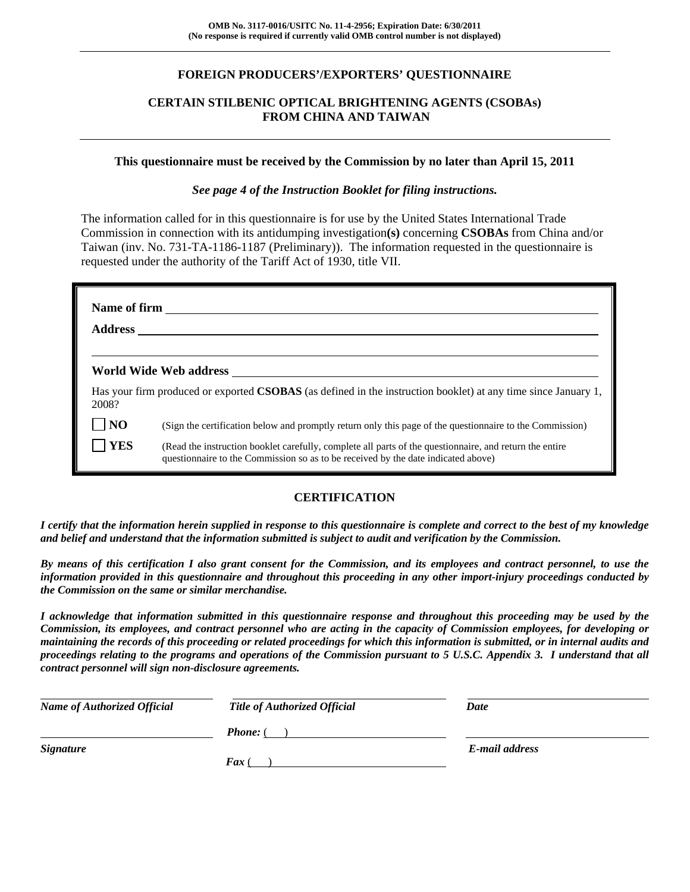### **FOREIGN PRODUCERS'/EXPORTERS' QUESTIONNAIRE**

### **CERTAIN STILBENIC OPTICAL BRIGHTENING AGENTS (CSOBAs) FROM CHINA AND TAIWAN**

#### **This questionnaire must be received by the Commission by no later than April 15, 2011**

*See page 4 of the Instruction Booklet for filing instructions.* 

The information called for in this questionnaire is for use by the United States International Trade Commission in connection with its antidumping investigation**(s)** concerning **CSOBAs** from China and/or Taiwan (inv. No. 731-TA-1186-1187 (Preliminary)). The information requested in the questionnaire is requested under the authority of the Tariff Act of 1930, title VII.

| Name of firm   |                                                                                                                                                                                              |  |  |  |
|----------------|----------------------------------------------------------------------------------------------------------------------------------------------------------------------------------------------|--|--|--|
|                | World Wide Web address North States and Security States and Security States and Security States and Security S                                                                               |  |  |  |
| 2008?          | Has your firm produced or exported CSOBAS (as defined in the instruction booklet) at any time since January 1,                                                                               |  |  |  |
| N <sub>O</sub> | (Sign the certification below and promptly return only this page of the questionnaire to the Commission)                                                                                     |  |  |  |
| YES            | (Read the instruction booklet carefully, complete all parts of the questionnaire, and return the entire<br>questionnaire to the Commission so as to be received by the date indicated above) |  |  |  |

### **CERTIFICATION**

*I certify that the information herein supplied in response to this questionnaire is complete and correct to the best of my knowledge and belief and understand that the information submitted is subject to audit and verification by the Commission.* 

*By means of this certification I also grant consent for the Commission, and its employees and contract personnel, to use the information provided in this questionnaire and throughout this proceeding in any other import-injury proceedings conducted by the Commission on the same or similar merchandise.* 

*I acknowledge that information submitted in this questionnaire response and throughout this proceeding may be used by the Commission, its employees, and contract personnel who are acting in the capacity of Commission employees, for developing or maintaining the records of this proceeding or related proceedings for which this information is submitted, or in internal audits and proceedings relating to the programs and operations of the Commission pursuant to 5 U.S.C. Appendix 3. I understand that all contract personnel will sign non-disclosure agreements.* 

| <b>Name of Authorized Official</b> | <b>Title of Authorized Official</b> | Date           |
|------------------------------------|-------------------------------------|----------------|
|                                    | <b>Phone:</b> (                     |                |
| <i>Signature</i>                   |                                     | E-mail address |
|                                    | $\boldsymbol{F}$ ax (               |                |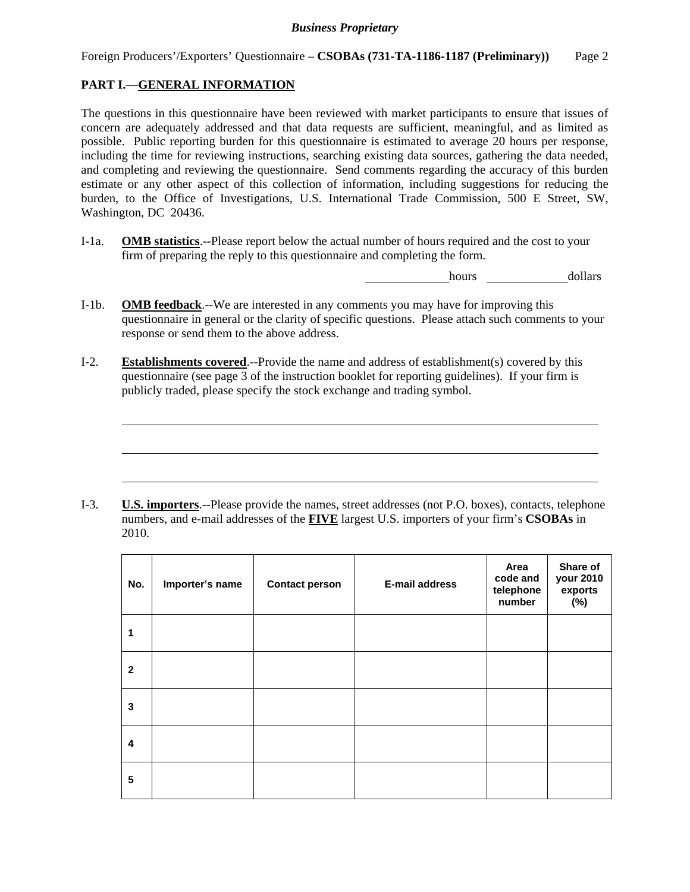### **PART I.—GENERAL INFORMATION**

 $\overline{a}$ 

 $\overline{a}$ 

 $\overline{a}$ 

The questions in this questionnaire have been reviewed with market participants to ensure that issues of concern are adequately addressed and that data requests are sufficient, meaningful, and as limited as possible. Public reporting burden for this questionnaire is estimated to average 20 hours per response, including the time for reviewing instructions, searching existing data sources, gathering the data needed, and completing and reviewing the questionnaire. Send comments regarding the accuracy of this burden estimate or any other aspect of this collection of information, including suggestions for reducing the burden, to the Office of Investigations, U.S. International Trade Commission, 500 E Street, SW, Washington, DC 20436.

I-1a. **OMB statistics**.--Please report below the actual number of hours required and the cost to your firm of preparing the reply to this questionnaire and completing the form.

hours dollars

- I-1b. **OMB feedback**.--We are interested in any comments you may have for improving this questionnaire in general or the clarity of specific questions. Please attach such comments to your response or send them to the above address.
- I-2. **Establishments covered**.--Provide the name and address of establishment(s) covered by this questionnaire (see page 3 of the instruction booklet for reporting guidelines). If your firm is publicly traded, please specify the stock exchange and trading symbol.

I-3. **U.S. importers**.--Please provide the names, street addresses (not P.O. boxes), contacts, telephone numbers, and e-mail addresses of the **FIVE** largest U.S. importers of your firm's **CSOBAs** in 2010.

| No.          | Importer's name | <b>Contact person</b> | <b>E-mail address</b> | Area<br>code and<br>telephone<br>number | Share of<br>your 2010<br>exports<br>$(\%)$ |
|--------------|-----------------|-----------------------|-----------------------|-----------------------------------------|--------------------------------------------|
| 1            |                 |                       |                       |                                         |                                            |
| $\mathbf{2}$ |                 |                       |                       |                                         |                                            |
| 3            |                 |                       |                       |                                         |                                            |
| 4            |                 |                       |                       |                                         |                                            |
| 5            |                 |                       |                       |                                         |                                            |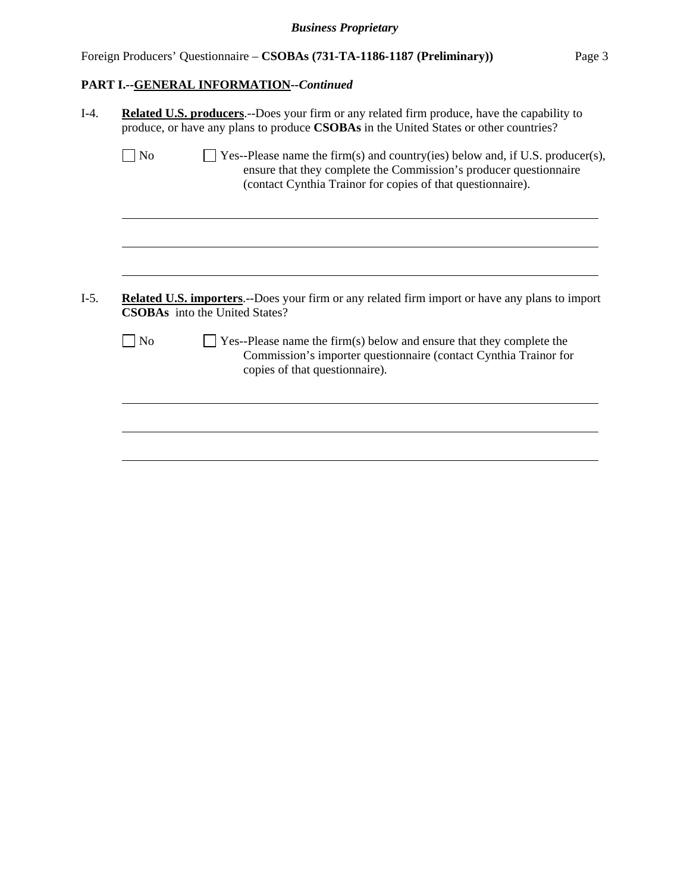# **PART I.--GENERAL INFORMATION***--Continued*

| <b>No</b> | $\Box$ Yes--Please name the firm(s) and country(ies) below and, if U.S. producer(s),<br>ensure that they complete the Commission's producer questionnaire                         |
|-----------|-----------------------------------------------------------------------------------------------------------------------------------------------------------------------------------|
|           | (contact Cynthia Trainor for copies of that questionnaire).                                                                                                                       |
|           |                                                                                                                                                                                   |
|           |                                                                                                                                                                                   |
|           |                                                                                                                                                                                   |
|           | <b>Related U.S. importers.</b> --Does your firm or any related firm import or have any plans to import<br><b>CSOBAs</b> into the United States?                                   |
| No        | $\Box$ Yes--Please name the firm(s) below and ensure that they complete the<br>Commission's importer questionnaire (contact Cynthia Trainor for<br>copies of that questionnaire). |
|           |                                                                                                                                                                                   |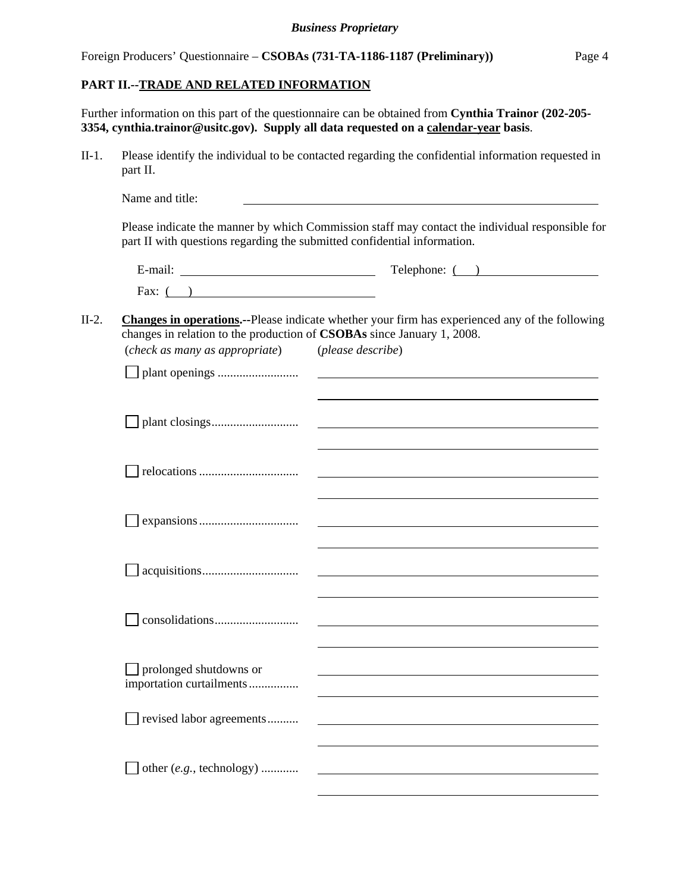### **PART II.--TRADE AND RELATED INFORMATION**

Further information on this part of the questionnaire can be obtained from **Cynthia Trainor (202-205- 3354, cynthia.trainor@usitc.gov). Supply all data requested on a calendar-year basis**.

II-1. Please identify the individual to be contacted regarding the confidential information requested in part II.

|         | Name and title:                                                                                          |                                                                                                                            |
|---------|----------------------------------------------------------------------------------------------------------|----------------------------------------------------------------------------------------------------------------------------|
|         | part II with questions regarding the submitted confidential information.                                 | Please indicate the manner by which Commission staff may contact the individual responsible for                            |
|         |                                                                                                          | $\text{Telephone: } ($ )                                                                                                   |
|         | Fax: $($ )                                                                                               |                                                                                                                            |
| $II-2.$ | changes in relation to the production of CSOBAs since January 1, 2008.<br>(check as many as appropriate) | <b>Changes in operations.--Please indicate whether your firm has experienced any of the following</b><br>(please describe) |
|         |                                                                                                          |                                                                                                                            |
|         |                                                                                                          | <u> 1989 - Johann Stoff, amerikansk politiker (d. 1989)</u>                                                                |
|         |                                                                                                          |                                                                                                                            |
|         |                                                                                                          |                                                                                                                            |
|         |                                                                                                          |                                                                                                                            |
|         |                                                                                                          |                                                                                                                            |
|         | prolonged shutdowns or<br>importation curtailments                                                       |                                                                                                                            |
|         | revised labor agreements                                                                                 |                                                                                                                            |

other (*e.g.*, technology) ............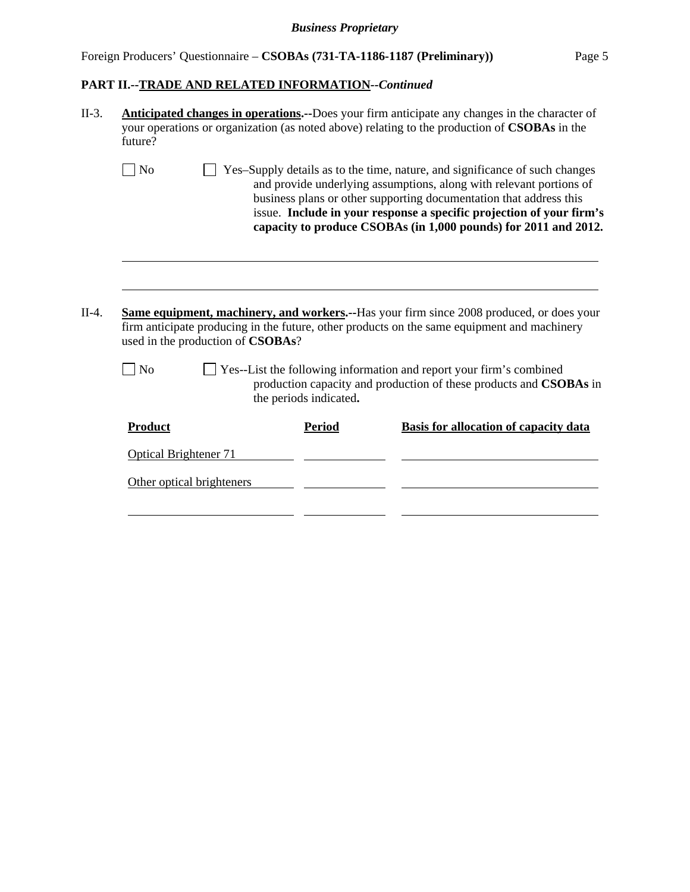# Foreign Producers' Questionnaire – **CSOBAs (731-TA-1186-1187 (Preliminary))** Page 5

# **PART II.--TRADE AND RELATED INFORMATION***--Continued*

| II-3.   | Anticipated changes in operations.--Does your firm anticipate any changes in the character of<br>your operations or organization (as noted above) relating to the production of CSOBAs in the<br>future? |                                                                                                                                                                                                                                                                                                                                                                     |                        |                                                                                                                                                                                                 |  |  |  |
|---------|----------------------------------------------------------------------------------------------------------------------------------------------------------------------------------------------------------|---------------------------------------------------------------------------------------------------------------------------------------------------------------------------------------------------------------------------------------------------------------------------------------------------------------------------------------------------------------------|------------------------|-------------------------------------------------------------------------------------------------------------------------------------------------------------------------------------------------|--|--|--|
|         | $ $ No                                                                                                                                                                                                   | Yes-Supply details as to the time, nature, and significance of such changes<br>and provide underlying assumptions, along with relevant portions of<br>business plans or other supporting documentation that address this<br>issue. Include in your response a specific projection of your firm's<br>capacity to produce CSOBAs (in 1,000 pounds) for 2011 and 2012. |                        |                                                                                                                                                                                                 |  |  |  |
| $II-4.$ | used in the production of CSOBAs?<br>N <sub>o</sub>                                                                                                                                                      |                                                                                                                                                                                                                                                                                                                                                                     |                        | <b>Same equipment, machinery, and workers.</b> --Has your firm since 2008 produced, or does your<br>firm anticipate producing in the future, other products on the same equipment and machinery |  |  |  |
|         |                                                                                                                                                                                                          |                                                                                                                                                                                                                                                                                                                                                                     | the periods indicated. | Yes--List the following information and report your firm's combined<br>production capacity and production of these products and CSOBAs in                                                       |  |  |  |
|         | <b>Product</b>                                                                                                                                                                                           |                                                                                                                                                                                                                                                                                                                                                                     | <b>Period</b>          | <b>Basis for allocation of capacity data</b>                                                                                                                                                    |  |  |  |
|         | <b>Optical Brightener 71</b>                                                                                                                                                                             |                                                                                                                                                                                                                                                                                                                                                                     |                        |                                                                                                                                                                                                 |  |  |  |
|         | Other optical brighteners                                                                                                                                                                                |                                                                                                                                                                                                                                                                                                                                                                     |                        |                                                                                                                                                                                                 |  |  |  |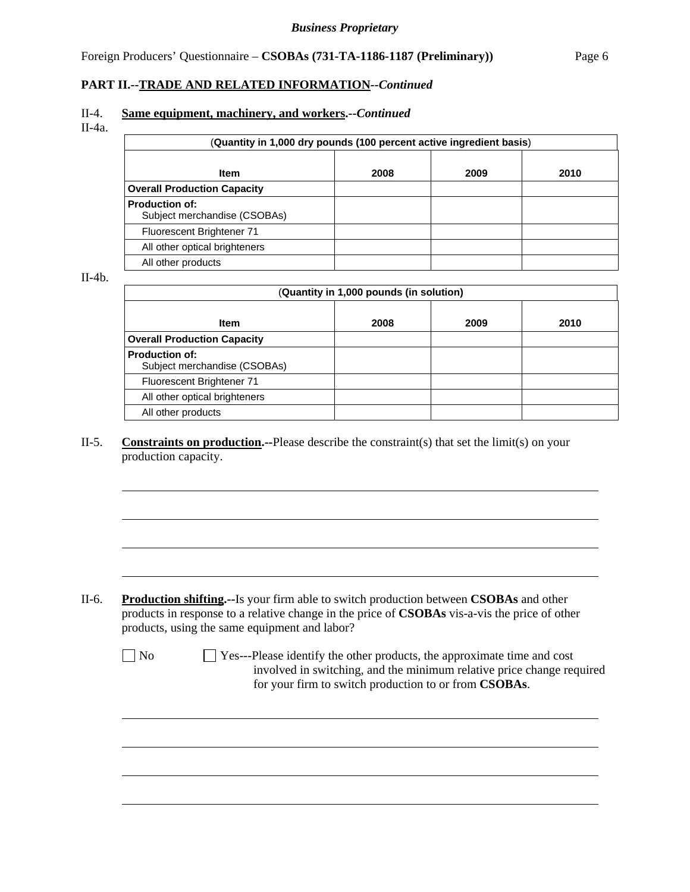#### **PART II.--TRADE AND RELATED INFORMATION***--Continued*

#### II-4. **Same equipment, machinery, and workers.--***Continued*

II-4a.

| (Quantity in 1,000 dry pounds (100 percent active ingredient basis) |      |      |      |  |  |
|---------------------------------------------------------------------|------|------|------|--|--|
| <b>Item</b>                                                         | 2008 | 2009 | 2010 |  |  |
| <b>Overall Production Capacity</b>                                  |      |      |      |  |  |
| <b>Production of:</b><br>Subject merchandise (CSOBAs)               |      |      |      |  |  |
| Fluorescent Brightener 71                                           |      |      |      |  |  |
| All other optical brighteners                                       |      |      |      |  |  |
| All other products                                                  |      |      |      |  |  |

II-4b.

 $\overline{a}$ 

l

| (Quantity in 1,000 pounds (in solution)               |      |      |      |  |  |
|-------------------------------------------------------|------|------|------|--|--|
| <b>Item</b>                                           | 2008 | 2009 | 2010 |  |  |
| <b>Overall Production Capacity</b>                    |      |      |      |  |  |
| <b>Production of:</b><br>Subject merchandise (CSOBAs) |      |      |      |  |  |
| Fluorescent Brightener 71                             |      |      |      |  |  |
| All other optical brighteners                         |      |      |      |  |  |
| All other products                                    |      |      |      |  |  |

#### II-5. **Constraints on production.--**Please describe the constraint(s) that set the limit(s) on your production capacity.

- II-6. **Production shifting.--**Is your firm able to switch production between **CSOBAs** and other products in response to a relative change in the price of **CSOBAs** vis-a-vis the price of other products, using the same equipment and labor?
	- $\Box$  No  $\Box$  Yes---Please identify the other products, the approximate time and cost involved in switching, and the minimum relative price change required for your firm to switch production to or from **CSOBAs**.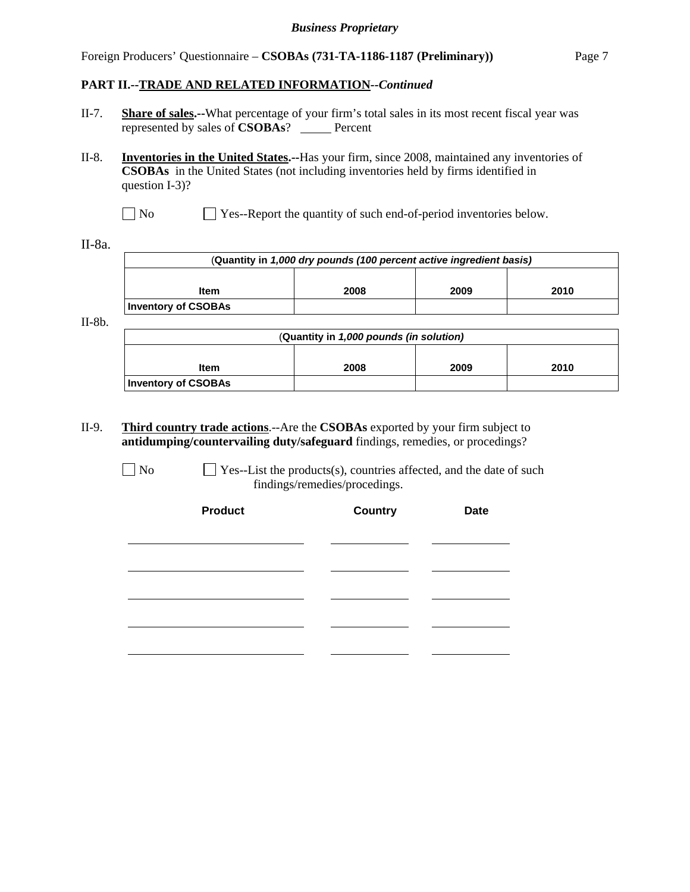#### Foreign Producers' Questionnaire – **CSOBAs (731-TA-1186-1187 (Preliminary))** Page 7

#### **PART II.--TRADE AND RELATED INFORMATION***--Continued*

- II-7. **Share of sales.--**What percentage of your firm's total sales in its most recent fiscal year was represented by sales of **CSOBAs**? \_\_\_\_\_ Percent
- II-8. **Inventories in the United States.--**Has your firm, since 2008, maintained any inventories of **CSOBAs** in the United States (not including inventories held by firms identified in question I-3)?
	- No Ses-Report the quantity of such end-of-period inventories below.

II-8a.

| (Quantity in 1,000 dry pounds (100 percent active ingredient basis) |  |  |  |  |  |
|---------------------------------------------------------------------|--|--|--|--|--|
| 2009<br>2008<br>2010<br><b>Item</b>                                 |  |  |  |  |  |
| <b>Inventory of CSOBAs</b>                                          |  |  |  |  |  |

II-8b.

| (Quantity in 1,000 pounds (in solution) |  |  |  |  |  |
|-----------------------------------------|--|--|--|--|--|
|                                         |  |  |  |  |  |
| 2010<br>2008<br>2009<br><b>Item</b>     |  |  |  |  |  |
| <b>Inventory of CSOBAs</b>              |  |  |  |  |  |

II-9. **Third country trade actions**.--Are the **CSOBAs** exported by your firm subject to **antidumping/countervailing duty/safeguard** findings, remedies, or procedings?

 $\Box$  No  $\Box$  Yes--List the products(s), countries affected, and the date of such findings/remedies/procedings.

| <b>Product</b> | <b>Country</b><br><b>Date</b> |  |  |
|----------------|-------------------------------|--|--|
|                |                               |  |  |
|                |                               |  |  |
|                |                               |  |  |
|                |                               |  |  |
|                |                               |  |  |
|                |                               |  |  |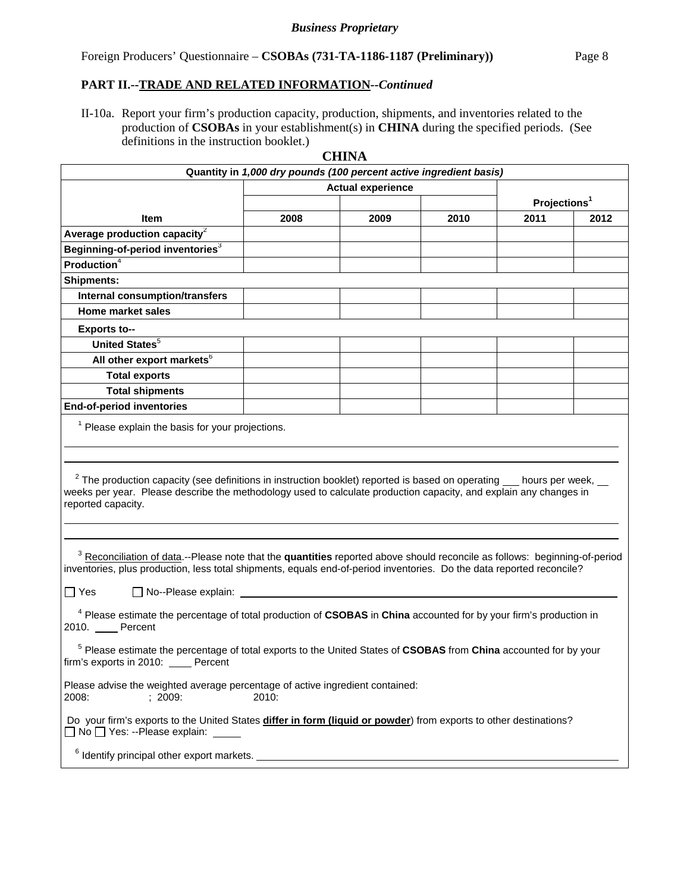#### Foreign Producers' Questionnaire – **CSOBAs (731-TA-1186-1187 (Preliminary))** Page 8

#### **PART II.--TRADE AND RELATED INFORMATION***--Continued*

II-10a. Report your firm's production capacity, production, shipments, and inventories related to the production of **CSOBAs** in your establishment(s) in **CHINA** during the specified periods. (See definitions in the instruction booklet.)

|                                                                                                                                                                                                                                                                                                                         |                                                                    | <b>CHINA</b> |      |                          |      |
|-------------------------------------------------------------------------------------------------------------------------------------------------------------------------------------------------------------------------------------------------------------------------------------------------------------------------|--------------------------------------------------------------------|--------------|------|--------------------------|------|
|                                                                                                                                                                                                                                                                                                                         | Quantity in 1,000 dry pounds (100 percent active ingredient basis) |              |      |                          |      |
|                                                                                                                                                                                                                                                                                                                         | <b>Actual experience</b>                                           |              |      |                          |      |
|                                                                                                                                                                                                                                                                                                                         |                                                                    |              |      | Projections <sup>1</sup> |      |
| Item                                                                                                                                                                                                                                                                                                                    | 2008                                                               | 2009         | 2010 | 2011                     | 2012 |
| Average production capacity $2$                                                                                                                                                                                                                                                                                         |                                                                    |              |      |                          |      |
| Beginning-of-period inventories <sup>3</sup>                                                                                                                                                                                                                                                                            |                                                                    |              |      |                          |      |
| $\overline{\mathsf{Production}}^4$                                                                                                                                                                                                                                                                                      |                                                                    |              |      |                          |      |
| <b>Shipments:</b>                                                                                                                                                                                                                                                                                                       |                                                                    |              |      |                          |      |
| <b>Internal consumption/transfers</b>                                                                                                                                                                                                                                                                                   |                                                                    |              |      |                          |      |
| <b>Home market sales</b>                                                                                                                                                                                                                                                                                                |                                                                    |              |      |                          |      |
| <b>Exports to--</b>                                                                                                                                                                                                                                                                                                     |                                                                    |              |      |                          |      |
| <b>United States</b> <sup>5</sup>                                                                                                                                                                                                                                                                                       |                                                                    |              |      |                          |      |
| All other export markets <sup>6</sup>                                                                                                                                                                                                                                                                                   |                                                                    |              |      |                          |      |
| <b>Total exports</b>                                                                                                                                                                                                                                                                                                    |                                                                    |              |      |                          |      |
| <b>Total shipments</b>                                                                                                                                                                                                                                                                                                  |                                                                    |              |      |                          |      |
| <b>End-of-period inventories</b>                                                                                                                                                                                                                                                                                        |                                                                    |              |      |                          |      |
| <sup>1</sup> Please explain the basis for your projections.                                                                                                                                                                                                                                                             |                                                                    |              |      |                          |      |
| $2$ The production capacity (see definitions in instruction booklet) reported is based on operating $\_\_$ hours per week, $\_\_$<br>weeks per year. Please describe the methodology used to calculate production capacity, and explain any changes in<br>reported capacity.                                            |                                                                    |              |      |                          |      |
| <sup>3</sup> Reconciliation of data.--Please note that the quantities reported above should reconcile as follows: beginning-of-period<br>inventories, plus production, less total shipments, equals end-of-period inventories. Do the data reported reconcile?<br>□ No--Please explain: <u>University</u><br>$\Box$ Yes |                                                                    |              |      |                          |      |
| <sup>4</sup> Please estimate the percentage of total production of CSOBAS in China accounted for by your firm's production in<br>2010. Percent                                                                                                                                                                          |                                                                    |              |      |                          |      |
| <sup>5</sup> Please estimate the percentage of total exports to the United States of CSOBAS from China accounted for by your<br>firm's exports in 2010: Percent                                                                                                                                                         |                                                                    |              |      |                          |      |
| Please advise the weighted average percentage of active ingredient contained:<br>2008:<br>: 2009:                                                                                                                                                                                                                       | 2010:                                                              |              |      |                          |      |
| Do your firm's exports to the United States differ in form (liquid or powder) from exports to other destinations?<br>□ No □ Yes: --Please explain:                                                                                                                                                                      |                                                                    |              |      |                          |      |
| $6$ Identify principal other export markets.                                                                                                                                                                                                                                                                            |                                                                    |              |      |                          |      |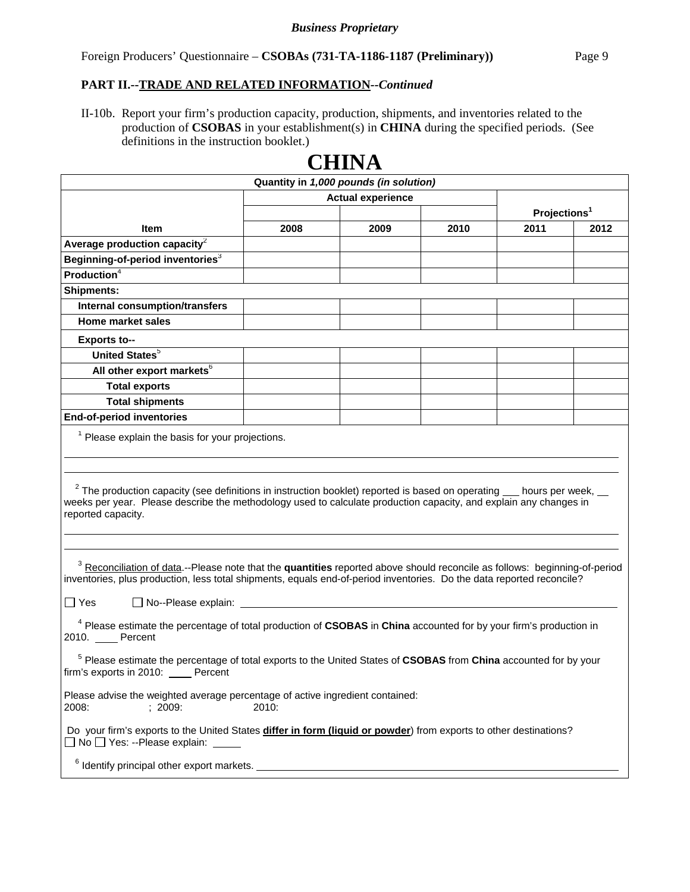#### **PART II.--TRADE AND RELATED INFORMATION***--Continued*

II-10b. Report your firm's production capacity, production, shipments, and inventories related to the production of **CSOBAS** in your establishment(s) in **CHINA** during the specified periods. (See definitions in the instruction booklet.)

| ◡▴▴▴◟▾▴                                                                                                                                                                                                                                                                                                |                          |      |      |                          |      |  |
|--------------------------------------------------------------------------------------------------------------------------------------------------------------------------------------------------------------------------------------------------------------------------------------------------------|--------------------------|------|------|--------------------------|------|--|
| Quantity in 1,000 pounds (in solution)                                                                                                                                                                                                                                                                 |                          |      |      |                          |      |  |
|                                                                                                                                                                                                                                                                                                        | <b>Actual experience</b> |      |      | Projections <sup>1</sup> |      |  |
| Item                                                                                                                                                                                                                                                                                                   | 2008                     | 2009 | 2010 | 2011                     | 2012 |  |
| Average production capacity <sup>2</sup>                                                                                                                                                                                                                                                               |                          |      |      |                          |      |  |
| Beginning-of-period inventories <sup>3</sup>                                                                                                                                                                                                                                                           |                          |      |      |                          |      |  |
| Production <sup>4</sup>                                                                                                                                                                                                                                                                                |                          |      |      |                          |      |  |
| <b>Shipments:</b>                                                                                                                                                                                                                                                                                      |                          |      |      |                          |      |  |
| <b>Internal consumption/transfers</b>                                                                                                                                                                                                                                                                  |                          |      |      |                          |      |  |
| <b>Home market sales</b>                                                                                                                                                                                                                                                                               |                          |      |      |                          |      |  |
| <b>Exports to--</b>                                                                                                                                                                                                                                                                                    |                          |      |      |                          |      |  |
| <b>United States</b> <sup>5</sup>                                                                                                                                                                                                                                                                      |                          |      |      |                          |      |  |
| All other export markets <sup>6</sup>                                                                                                                                                                                                                                                                  |                          |      |      |                          |      |  |
| <b>Total exports</b>                                                                                                                                                                                                                                                                                   |                          |      |      |                          |      |  |
| <b>Total shipments</b>                                                                                                                                                                                                                                                                                 |                          |      |      |                          |      |  |
| <b>End-of-period inventories</b>                                                                                                                                                                                                                                                                       |                          |      |      |                          |      |  |
| <sup>1</sup> Please explain the basis for your projections.                                                                                                                                                                                                                                            |                          |      |      |                          |      |  |
|                                                                                                                                                                                                                                                                                                        |                          |      |      |                          |      |  |
|                                                                                                                                                                                                                                                                                                        |                          |      |      |                          |      |  |
| $2$ The production capacity (see definitions in instruction booklet) reported is based on operating $\_\_$ hours per week, $\_\_$<br>weeks per year. Please describe the methodology used to calculate production capacity, and explain any changes in<br>reported capacity.                           |                          |      |      |                          |      |  |
|                                                                                                                                                                                                                                                                                                        |                          |      |      |                          |      |  |
| <sup>3</sup> Reconciliation of data.--Please note that the quantities reported above should reconcile as follows: beginning-of-period<br>inventories, plus production, less total shipments, equals end-of-period inventories. Do the data reported reconcile?<br>$ \Box$ Yes<br>□ No--Please explain: |                          |      |      |                          |      |  |
|                                                                                                                                                                                                                                                                                                        |                          |      |      |                          |      |  |
| <sup>4</sup> Please estimate the percentage of total production of CSOBAS in China accounted for by your firm's production in<br>2010. Percent                                                                                                                                                         |                          |      |      |                          |      |  |
| <sup>5</sup> Please estimate the percentage of total exports to the United States of CSOBAS from China accounted for by your<br>firm's exports in 2010: _____ Percent                                                                                                                                  |                          |      |      |                          |      |  |
| Please advise the weighted average percentage of active ingredient contained:<br>2008:<br>; 2009:<br>2010:                                                                                                                                                                                             |                          |      |      |                          |      |  |
| Do your firm's exports to the United States differ in form (liquid or powder) from exports to other destinations?<br>□ No □ Yes: --Please explain: _____                                                                                                                                               |                          |      |      |                          |      |  |
|                                                                                                                                                                                                                                                                                                        |                          |      |      |                          |      |  |

# **CHINA**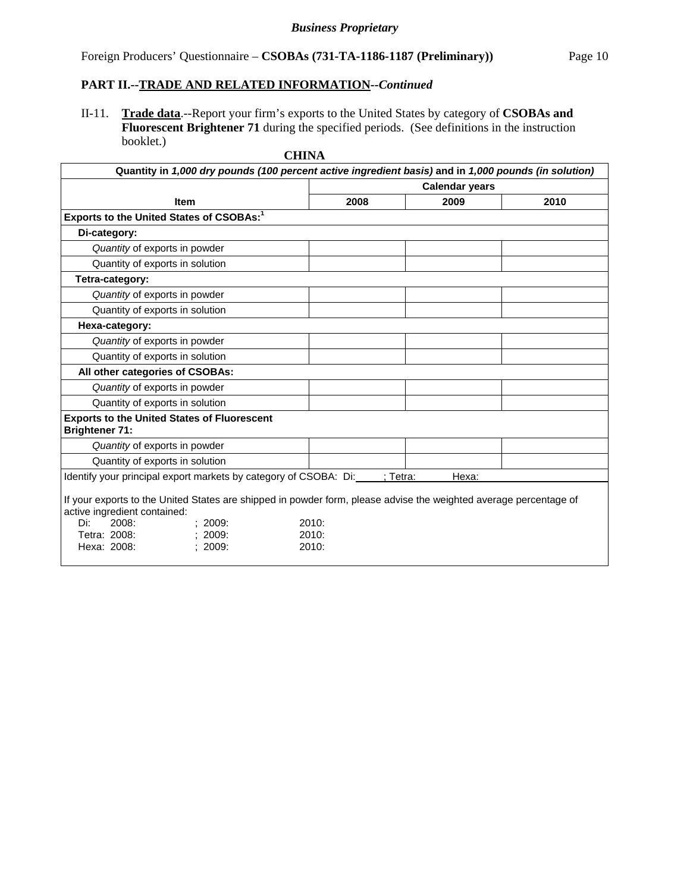# Foreign Producers' Questionnaire – **CSOBAs (731-TA-1186-1187 (Preliminary))** Page 10

#### **PART II.--TRADE AND RELATED INFORMATION***--Continued*

II-11. **Trade data**.--Report your firm's exports to the United States by category of **CSOBAs and Fluorescent Brightener 71** during the specified periods. (See definitions in the instruction booklet.)

| <b>CHINA</b>                                                                                                                                                                                                                |                         |       |      |  |
|-----------------------------------------------------------------------------------------------------------------------------------------------------------------------------------------------------------------------------|-------------------------|-------|------|--|
| Quantity in 1,000 dry pounds (100 percent active ingredient basis) and in 1,000 pounds (in solution)                                                                                                                        |                         |       |      |  |
|                                                                                                                                                                                                                             | <b>Calendar years</b>   |       |      |  |
| <b>Item</b>                                                                                                                                                                                                                 | 2008                    | 2009  | 2010 |  |
| Exports to the United States of CSOBAs: <sup>1</sup>                                                                                                                                                                        |                         |       |      |  |
| Di-category:                                                                                                                                                                                                                |                         |       |      |  |
| Quantity of exports in powder                                                                                                                                                                                               |                         |       |      |  |
| Quantity of exports in solution                                                                                                                                                                                             |                         |       |      |  |
| Tetra-category:                                                                                                                                                                                                             |                         |       |      |  |
| Quantity of exports in powder                                                                                                                                                                                               |                         |       |      |  |
| Quantity of exports in solution                                                                                                                                                                                             |                         |       |      |  |
| Hexa-category:                                                                                                                                                                                                              |                         |       |      |  |
| Quantity of exports in powder                                                                                                                                                                                               |                         |       |      |  |
| Quantity of exports in solution                                                                                                                                                                                             |                         |       |      |  |
| All other categories of CSOBAs:                                                                                                                                                                                             |                         |       |      |  |
| Quantity of exports in powder                                                                                                                                                                                               |                         |       |      |  |
| Quantity of exports in solution                                                                                                                                                                                             |                         |       |      |  |
| <b>Exports to the United States of Fluorescent</b><br><b>Brightener 71:</b>                                                                                                                                                 |                         |       |      |  |
| Quantity of exports in powder                                                                                                                                                                                               |                         |       |      |  |
| Quantity of exports in solution                                                                                                                                                                                             |                         |       |      |  |
| Identify your principal export markets by category of CSOBA: Di:                                                                                                                                                            | : Tetra:                | Hexa: |      |  |
| If your exports to the United States are shipped in powder form, please advise the weighted average percentage of<br>active ingredient contained:<br>Di:<br>2008:<br>2009:<br>Tetra: 2008:<br>2009:<br>Hexa: 2008:<br>2009: | 2010:<br>2010:<br>2010: |       |      |  |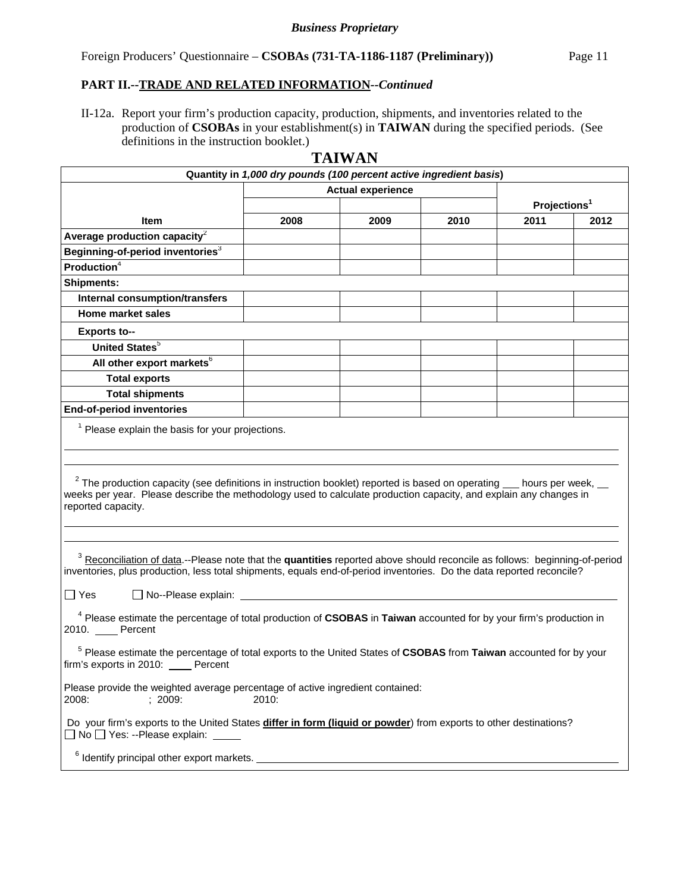# Foreign Producers' Questionnaire – **CSOBAs (731-TA-1186-1187 (Preliminary))** Page 11

#### **PART II.--TRADE AND RELATED INFORMATION***--Continued*

II-12a. Report your firm's production capacity, production, shipments, and inventories related to the production of **CSOBAs** in your establishment(s) in **TAIWAN** during the specified periods. (See definitions in the instruction booklet.)

# **TAIWAN**

| Quantity in 1,000 dry pounds (100 percent active ingredient basis)                                                                                                                                                                                                                                                                 |                          |      |      |                          |      |  |
|------------------------------------------------------------------------------------------------------------------------------------------------------------------------------------------------------------------------------------------------------------------------------------------------------------------------------------|--------------------------|------|------|--------------------------|------|--|
|                                                                                                                                                                                                                                                                                                                                    | <b>Actual experience</b> |      |      |                          |      |  |
|                                                                                                                                                                                                                                                                                                                                    |                          |      |      | Projections <sup>1</sup> |      |  |
| Item                                                                                                                                                                                                                                                                                                                               | 2008                     | 2009 | 2010 | 2011                     | 2012 |  |
| Average production capacity $2$                                                                                                                                                                                                                                                                                                    |                          |      |      |                          |      |  |
| Beginning-of-period inventories <sup>3</sup>                                                                                                                                                                                                                                                                                       |                          |      |      |                          |      |  |
| Production <sup>4</sup>                                                                                                                                                                                                                                                                                                            |                          |      |      |                          |      |  |
| <b>Shipments:</b>                                                                                                                                                                                                                                                                                                                  |                          |      |      |                          |      |  |
| Internal consumption/transfers                                                                                                                                                                                                                                                                                                     |                          |      |      |                          |      |  |
| <b>Home market sales</b>                                                                                                                                                                                                                                                                                                           |                          |      |      |                          |      |  |
| <b>Exports to--</b>                                                                                                                                                                                                                                                                                                                |                          |      |      |                          |      |  |
| United States <sup>5</sup>                                                                                                                                                                                                                                                                                                         |                          |      |      |                          |      |  |
| All other export markets <sup>6</sup>                                                                                                                                                                                                                                                                                              |                          |      |      |                          |      |  |
| <b>Total exports</b>                                                                                                                                                                                                                                                                                                               |                          |      |      |                          |      |  |
| <b>Total shipments</b>                                                                                                                                                                                                                                                                                                             |                          |      |      |                          |      |  |
| <b>End-of-period inventories</b>                                                                                                                                                                                                                                                                                                   |                          |      |      |                          |      |  |
| $1$ Please explain the basis for your projections.<br>$2$ The production capacity (see definitions in instruction booklet) reported is based on operating $\_\_$ hours per week, $\_\_$<br>weeks per year. Please describe the methodology used to calculate production capacity, and explain any changes in<br>reported capacity. |                          |      |      |                          |      |  |
| <sup>3</sup> Reconciliation of data.--Please note that the quantities reported above should reconcile as follows: beginning-of-period<br>inventories, plus production, less total shipments, equals end-of-period inventories. Do the data reported reconcile?<br>$\Box$ Yes                                                       |                          |      |      |                          |      |  |
| <sup>4</sup> Please estimate the percentage of total production of CSOBAS in Taiwan accounted for by your firm's production in<br>2010. Percent<br><sup>5</sup> Please estimate the percentage of total exports to the United States of CSOBAS from Taiwan accounted for by your                                                   |                          |      |      |                          |      |  |
| firm's exports in 2010:<br>Percent<br>Please provide the weighted average percentage of active ingredient contained:                                                                                                                                                                                                               |                          |      |      |                          |      |  |
| 2008:<br>; 2009:<br>2010:<br>Do your firm's exports to the United States differ in form (liquid or powder) from exports to other destinations?<br>□ No □ Yes: --Please explain: _____<br><sup>6</sup> Identify principal other export markets.                                                                                     |                          |      |      |                          |      |  |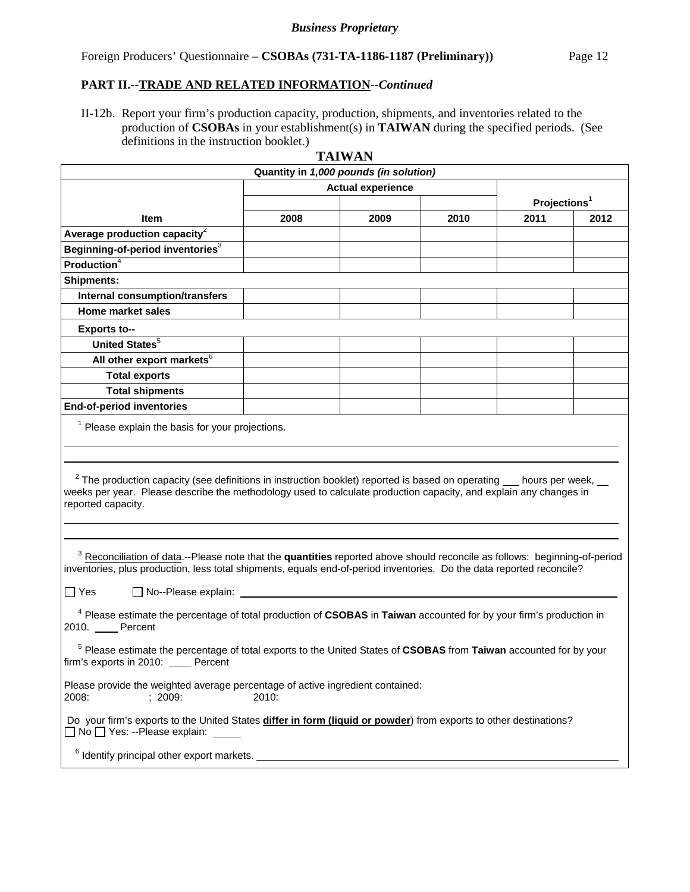# **PART II.--TRADE AND RELATED INFORMATION***--Continued*

II-12b. Report your firm's production capacity, production, shipments, and inventories related to the production of **CSOBAs** in your establishment(s) in **TAIWAN** during the specified periods. (See definitions in the instruction booklet.)

| <b>TAIWAN</b>                                                                                                                                                                                                                                                                                                         |                          |      |                          |      |      |  |
|-----------------------------------------------------------------------------------------------------------------------------------------------------------------------------------------------------------------------------------------------------------------------------------------------------------------------|--------------------------|------|--------------------------|------|------|--|
| Quantity in 1,000 pounds (in solution)                                                                                                                                                                                                                                                                                |                          |      |                          |      |      |  |
|                                                                                                                                                                                                                                                                                                                       | <b>Actual experience</b> |      |                          |      |      |  |
|                                                                                                                                                                                                                                                                                                                       |                          |      | Projections <sup>1</sup> |      |      |  |
| Item                                                                                                                                                                                                                                                                                                                  | 2008                     | 2009 | 2010                     | 2011 | 2012 |  |
| Average production capacity $2$                                                                                                                                                                                                                                                                                       |                          |      |                          |      |      |  |
| Beginning-of-period inventories <sup>3</sup>                                                                                                                                                                                                                                                                          |                          |      |                          |      |      |  |
| <b>Production</b> <sup>4</sup>                                                                                                                                                                                                                                                                                        |                          |      |                          |      |      |  |
| <b>Shipments:</b>                                                                                                                                                                                                                                                                                                     |                          |      |                          |      |      |  |
| <b>Internal consumption/transfers</b>                                                                                                                                                                                                                                                                                 |                          |      |                          |      |      |  |
| Home market sales                                                                                                                                                                                                                                                                                                     |                          |      |                          |      |      |  |
| <b>Exports to--</b>                                                                                                                                                                                                                                                                                                   |                          |      |                          |      |      |  |
| <b>United States</b> <sup>5</sup>                                                                                                                                                                                                                                                                                     |                          |      |                          |      |      |  |
| All other export markets <sup>6</sup>                                                                                                                                                                                                                                                                                 |                          |      |                          |      |      |  |
| <b>Total exports</b>                                                                                                                                                                                                                                                                                                  |                          |      |                          |      |      |  |
| <b>Total shipments</b>                                                                                                                                                                                                                                                                                                |                          |      |                          |      |      |  |
| <b>End-of-period inventories</b>                                                                                                                                                                                                                                                                                      |                          |      |                          |      |      |  |
| <sup>1</sup> Please explain the basis for your projections.<br>$2$ The production capacity (see definitions in instruction booklet) reported is based on operating $\_\_$ hours per week, $\_\_$<br>weeks per year. Please describe the methodology used to calculate production capacity, and explain any changes in |                          |      |                          |      |      |  |
| reported capacity.<br><sup>3</sup> Reconciliation of data.--Please note that the quantities reported above should reconcile as follows: beginning-of-period<br>inventories, plus production, less total shipments, equals end-of-period inventories. Do the data reported reconcile?                                  |                          |      |                          |      |      |  |
| $\Box$ Yes<br>$\Box$ No--Please explain:                                                                                                                                                                                                                                                                              |                          |      |                          |      |      |  |
| <sup>4</sup> Please estimate the percentage of total production of CSOBAS in Taiwan accounted for by your firm's production in<br>2010. Percent                                                                                                                                                                       |                          |      |                          |      |      |  |
| <sup>5</sup> Please estimate the percentage of total exports to the United States of CSOBAS from Taiwan accounted for by your<br>firm's exports in 2010: Percent                                                                                                                                                      |                          |      |                          |      |      |  |
| Please provide the weighted average percentage of active ingredient contained:<br>; 2009:<br>2010:<br>2008:                                                                                                                                                                                                           |                          |      |                          |      |      |  |
| Do your firm's exports to the United States differ in form (liquid or powder) from exports to other destinations?<br>$\Box$ No $\Box$ Yes: --Please explain:                                                                                                                                                          |                          |      |                          |      |      |  |
| <sup>6</sup> Identify principal other export markets.                                                                                                                                                                                                                                                                 |                          |      |                          |      |      |  |